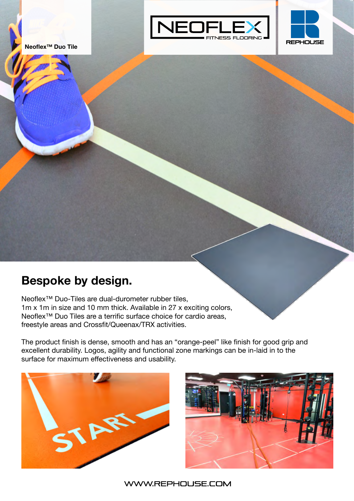



## **Bespoke by design.**

Neoflex™ Duo-Tiles are dual-durometer rubber tiles, 1m x 1m in size and 10 mm thick. Available in 27 x exciting colors, Neoflex<sup>™</sup> Duo Tiles are a terrific surface choice for cardio areas, freestyle areas and Crossfit/Queenax/TRX activities.

The product finish is dense, smooth and has an "orange-peel" like finish for good grip and excellent durability. Logos, agility and functional zone markings can be in-laid in to the surface for maximum effectiveness and usability.



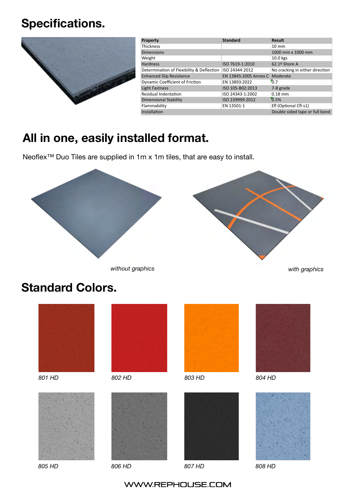## **Specifications.**



| Property                                  | <b>Standard</b>                | <b>Result</b>                   |
|-------------------------------------------|--------------------------------|---------------------------------|
| <b>Thickness</b>                          |                                | $10 \text{ mm}$                 |
| <b>Dimensions</b>                         |                                | 1000 mm x 1000 mm               |
| Weight                                    |                                | 10.0 kgs                        |
| <b>Hardness</b>                           | ISO 7619-1:2010                | $62.19$ Shore A                 |
| Determination of Flexibility & Deflection | ISO 24344:2012                 | No cracking in either direction |
| <b>Enhanced Slip Resistance</b>           | EN 13845:2005 Annex C Moderate |                                 |
| <b>Dynamic Coefficient of Friction</b>    | EN 13893:2022                  | 0.7                             |
| <b>Light Fastness</b>                     | ISO 105-B02:2013               | 7-8 grade                       |
| Residual Indentation                      | ISO 24343-1:2002               | $0.18$ mm                       |
| <b>Dimensional Stability</b>              | ISO 239999:2012                | 0.5%                            |
| Flammability                              | EN 13501-1                     | Efl (Optional Cfl-s1)           |
| Installation                              |                                | Double sided tape or full bond  |

# **All in one, easily installed format.**

Neoflex™ Duo Tiles are supplied in 1m x 1m tiles, that are easy to install.



*without graphics with graphics*

## **Standard Colors.**













*805 HD 806 HD 807 HD 808 HD*







#### WWW.REPHOUSE.COM